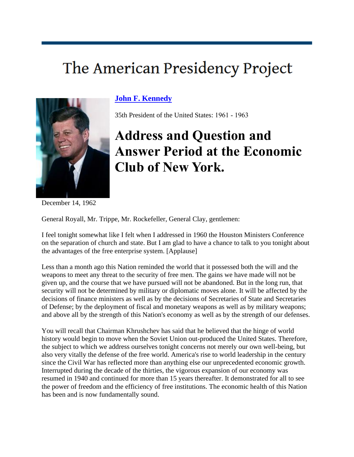## The American Presidency Project



## **[John F. Kennedy](https://www.presidency.ucsb.edu/people/president/john-f-kennedy)**

35th President of the United States: 1961 ‐ 1963

## **Address and Question and Answer Period at the Economic Club of New York.**

December 14, 1962

General Royall, Mr. Trippe, Mr. Rockefeller, General Clay, gentlemen:

I feel tonight somewhat like I felt when I addressed in 1960 the Houston Ministers Conference on the separation of church and state. But I am glad to have a chance to talk to you tonight about the advantages of the free enterprise system. [Applause]

Less than a month ago this Nation reminded the world that it possessed both the will and the weapons to meet any threat to the security of free men. The gains we have made will not be given up, and the course that we have pursued will not be abandoned. But in the long run, that security will not be determined by military or diplomatic moves alone. It will be affected by the decisions of finance ministers as well as by the decisions of Secretaries of State and Secretaries of Defense; by the deployment of fiscal and monetary weapons as well as by military weapons; and above all by the strength of this Nation's economy as well as by the strength of our defenses.

You will recall that Chairman Khrushchev has said that he believed that the hinge of world history would begin to move when the Soviet Union out-produced the United States. Therefore, the subject to which we address ourselves tonight concerns not merely our own well-being, but also very vitally the defense of the free world. America's rise to world leadership in the century since the Civil War has reflected more than anything else our unprecedented economic growth. Interrupted during the decade of the thirties, the vigorous expansion of our economy was resumed in 1940 and continued for more than 15 years thereafter. It demonstrated for all to see the power of freedom and the efficiency of free institutions. The economic health of this Nation has been and is now fundamentally sound.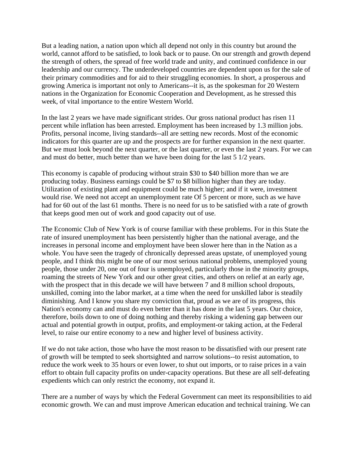But a leading nation, a nation upon which all depend not only in this country but around the world, cannot afford to be satisfied, to look back or to pause. On our strength and growth depend the strength of others, the spread of free world trade and unity, and continued confidence in our leadership and our currency. The underdeveloped countries are dependent upon us for the sale of their primary commodities and for aid to their struggling economies. In short, a prosperous and growing America is important not only to Americans--it is, as the spokesman for 20 Western nations in the Organization for Economic Cooperation and Development, as he stressed this week, of vital importance to the entire Western World.

In the last 2 years we have made significant strides. Our gross national product has risen 11 percent while inflation has been arrested. Employment has been increased by 1.3 million jobs. Profits, personal income, living standards--all are setting new records. Most of the economic indicators for this quarter are up and the prospects are for further expansion in the next quarter. But we must look beyond the next quarter, or the last quarter, or even the last 2 years. For we can and must do better, much better than we have been doing for the last 5 1/2 years.

This economy is capable of producing without strain \$30 to \$40 billion more than we are producing today. Business earnings could be \$7 to \$8 billion higher than they are today. Utilization of existing plant and equipment could be much higher; and if it were, investment would rise. We need not accept an unemployment rate Of 5 percent or more, such as we have had for 60 out of the last 61 months. There is no need for us to be satisfied with a rate of growth that keeps good men out of work and good capacity out of use.

The Economic Club of New York is of course familiar with these problems. For in this State the rate of insured unemployment has been persistently higher than the national average, and the increases in personal income and employment have been slower here than in the Nation as a whole. You have seen the tragedy of chronically depressed areas upstate, of unemployed young people, and I think this might be one of our most serious national problems, unemployed young people, those under 20, one out of four is unemployed, particularly those in the minority groups, roaming the streets of New York and our other great cities, and others on relief at an early age, with the prospect that in this decade we will have between 7 and 8 million school dropouts, unskilled, coming into the labor market, at a time when the need for unskilled labor is steadily diminishing. And I know you share my conviction that, proud as we are of its progress, this Nation's economy can and must do even better than it has done in the last 5 years. Our choice, therefore, boils down to one of doing nothing and thereby risking a widening gap between our actual and potential growth in output, profits, and employment-or taking action, at the Federal level, to raise our entire economy to a new and higher level of business activity.

If we do not take action, those who have the most reason to be dissatisfied with our present rate of growth will be tempted to seek shortsighted and narrow solutions--to resist automation, to reduce the work week to 35 hours or even lower, to shut out imports, or to raise prices in a vain effort to obtain full capacity profits on under-capacity operations. But these are all self-defeating expedients which can only restrict the economy, not expand it.

There are a number of ways by which the Federal Government can meet its responsibilities to aid economic growth. We can and must improve American education and technical training. We can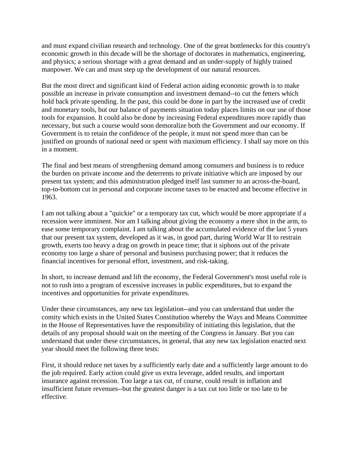and must expand civilian research and technology. One of the great bottlenecks for this country's economic growth in this decade will be the shortage of doctorates in mathematics, engineering, and physics; a serious shortage with a great demand and an under-supply of highly trained manpower. We can and must step up the development of our natural resources.

But the most direct and significant kind of Federal action aiding economic growth is to make possible an increase in private consumption and investment demand--to cut the fetters which hold back private spending. In the past, this could be done in part by the increased use of credit and monetary tools, but our balance of payments situation today places limits on our use of those tools for expansion. It could also be done by increasing Federal expenditures more rapidly than necessary, but such a course would soon demoralize both the Government and our economy. If Government is to retain the confidence of the people, it must not spend more than can be justified on grounds of national need or spent with maximum efficiency. I shall say more on this in a moment.

The final and best means of strengthening demand among consumers and business is to reduce the burden on private income and the deterrents to private initiative which are imposed by our present tax system; and this administration pledged itself last summer to an across-the-board, top-to-bottom cut in personal and corporate income taxes to be enacted and become effective in 1963.

I am not talking about a "quickie" or a temporary tax cut, which would be more appropriate if a recession were imminent. Nor am I talking about giving the economy a mere shot in the arm, to ease some temporary complaint. I am talking about the accumulated evidence of the last 5 years that our present tax system, developed as it was, in good part, during World War II to restrain growth, exerts too heavy a drag on growth in peace time; that it siphons out of the private economy too large a share of personal and business purchasing power; that it reduces the financial incentives for personal effort, investment, and risk-taking.

In short, to increase demand and lift the economy, the Federal Government's most useful role is not to rush into a program of excessive increases in public expenditures, but to expand the incentives and opportunities for private expenditures.

Under these circumstances, any new tax legislation--and you can understand that under the comity which exists in the United States Constitution whereby the Ways and Means Committee in the House of Representatives have the responsibility of initiating this legislation, that the details of any proposal should wait on the meeting of the Congress in January. But you can understand that under these circumstances, in general, that any new tax legislation enacted next year should meet the following three tests:

First, it should reduce net taxes by a sufficiently early date and a sufficiently large amount to do the job required. Early action could give us extra leverage, added results, and important insurance against recession. Too large a tax cut, of course, could result in inflation and insufficient future revenues--but the greatest danger is a tax cut too little or too late to be effective.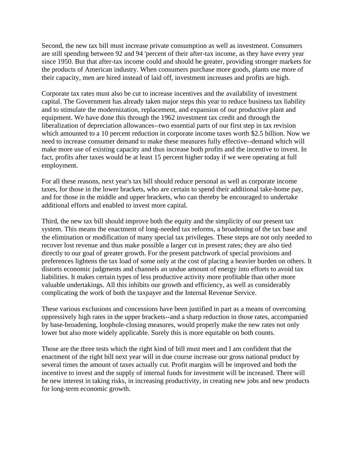Second, the new tax bill must increase private consumption as well as investment. Consumers are still spending between 92 and 94 'percent of their after-tax income, as they have every year since 1950. But that after-tax income could and should be greater, providing stronger markets for the products of American industry. When consumers purchase more goods, plants use more of their capacity, men are hired instead of laid off, investment increases and profits are high.

Corporate tax rates must also be cut to increase incentives and the availability of investment capital. The Government has already taken major steps this year to reduce business tax liability and to stimulate the modernization, replacement, and expansion of our productive plant and equipment. We have done this through the 1962 investment tax credit and through the liberalization of depreciation allowances--two essential parts of our first step in tax revision which amounted to a 10 percent reduction in corporate income taxes worth \$2.5 billion. Now we need to increase consumer demand to make these measures fully effective--demand which will make more use of existing capacity and thus increase both profits and the incentive to invest. In fact, profits after taxes would be at least 15 percent higher today if we were operating at full employment.

For all these reasons, next year's tax bill should reduce personal as well as corporate income taxes, for those in the lower brackets, who are certain to spend their additional take-home pay, and for those in the middle and upper brackets, who can thereby be encouraged to undertake additional efforts and enabled to invest more capital.

Third, the new tax bill should improve both the equity and the simplicity of our present tax system. This means the enactment of long-needed tax reforms, a broadening of the tax base and the elimination or modification of many special tax privileges. These steps are not only needed to recover lost revenue and thus make possible a larger cut in present rates; they are also tied directly to our goal of greater growth. For the present patchwork of special provisions and preferences lightens the tax load of some only at the cost of placing a heavier burden on others. It distorts economic judgments and channels an undue amount of energy into efforts to avoid tax liabilities. It makes certain types of less productive activity more profitable than other more valuable undertakings. All this inhibits our growth and efficiency, as well as considerably complicating the work of both the taxpayer and the Internal Revenue Service.

These various exclusions and concessions have been justified in part as a means of overcoming oppressively high rates in the upper brackets--and a sharp reduction in those rates, accompanied by base-broadening, loophole-closing measures, would properly make the new rates not only lower but also more widely applicable. Surely this is more equitable on both counts.

Those are the three tests which the right kind of bill must meet and I am confident that the enactment of the right bill next year will in due course increase our gross national product by several times the amount of taxes actually cut. Profit margins will be improved and both the incentive to invest and the supply of internal funds for investment will be increased. There will be new interest in taking risks, in increasing productivity, in creating new jobs and new products for long-term economic growth.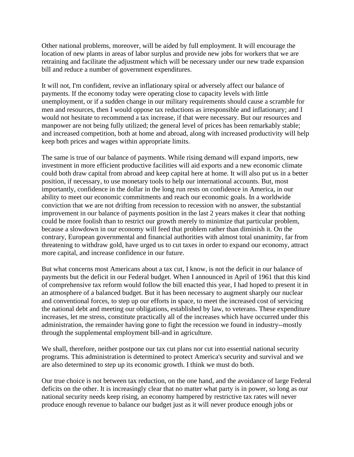Other national problems, moreover, will be aided by full employment. It will encourage the location of new plants in areas of labor surplus and provide new jobs for workers that we are retraining and facilitate the adjustment which will be necessary under our new trade expansion bill and reduce a number of government expenditures.

It will not, I'm confident, revive an inflationary spiral or adversely affect our balance of payments. If the economy today were operating close to capacity levels with little unemployment, or if a sudden change in our military requirements should cause a scramble for men and resources, then I would oppose tax reductions as irresponsible and inflationary; and I would not hesitate to recommend a tax increase, if that were necessary. But our resources and manpower are not being fully utilized; the general level of prices has been remarkably stable; and increased competition, both at home and abroad, along with increased productivity will help keep both prices and wages within appropriate limits.

The same is true of our balance of payments. While rising demand will expand imports, new investment in more efficient productive facilities will aid exports and a new economic climate could both draw capital from abroad and keep capital here at home. It will also put us in a better position, if necessary, to use monetary tools to help our international accounts. But, most importantly, confidence in the dollar in the long run rests on confidence in America, in our ability to meet our economic commitments and reach our economic goals. In a worldwide conviction that we are not drifting from recession to recession with no answer, the substantial improvement in our balance of payments position in the last 2 years makes it clear that nothing could be more foolish than to restrict our growth merely to minimize that particular problem, because a slowdown in our economy will feed that problem rather than diminish it. On the contrary, European governmental and financial authorities with almost total unanimity, far from threatening to withdraw gold, have urged us to cut taxes in order to expand our economy, attract more capital, and increase confidence in our future.

But what concerns most Americans about a tax cut, I know, is not the deficit in our balance of payments but the deficit in our Federal budget. When I announced in April of 1961 that this kind of comprehensive tax reform would follow the bill enacted this year, I had hoped to present it in an atmosphere of a balanced budget. But it has been necessary to augment sharply our nuclear and conventional forces, to step up our efforts in space, to meet the increased cost of servicing the national debt and meeting our obligations, established by law, to veterans. These expenditure increases, let me stress, constitute practically all of the increases which have occurred under this administration, the remainder having gone to fight the recession we found in industry--mostly through the supplemental employment bill-and in agriculture.

We shall, therefore, neither postpone our tax cut plans nor cut into essential national security programs. This administration is determined to protect America's security and survival and we are also determined to step up its economic growth. I think we must do both.

Our true choice is not between tax reduction, on the one hand, and the avoidance of large Federal deficits on the other. It is increasingly clear that no matter what party is in power, so long as our national security needs keep rising, an economy hampered by restrictive tax rates will never produce enough revenue to balance our budget just as it will never produce enough jobs or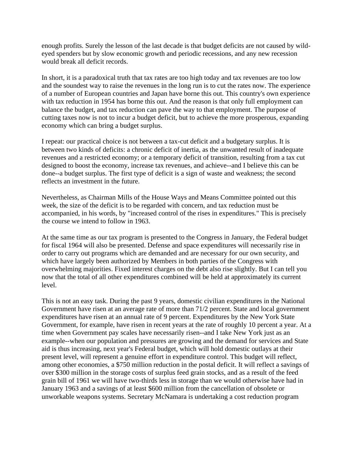enough profits. Surely the lesson of the last decade is that budget deficits are not caused by wildeyed spenders but by slow economic growth and periodic recessions, and any new recession would break all deficit records.

In short, it is a paradoxical truth that tax rates are too high today and tax revenues are too low and the soundest way to raise the revenues in the long run is to cut the rates now. The experience of a number of European countries and Japan have borne this out. This country's own experience with tax reduction in 1954 has borne this out. And the reason is that only full employment can balance the budget, and tax reduction can pave the way to that employment. The purpose of cutting taxes now is not to incur a budget deficit, but to achieve the more prosperous, expanding economy which can bring a budget surplus.

I repeat: our practical choice is not between a tax-cut deficit and a budgetary surplus. It is between two kinds of deficits: a chronic deficit of inertia, as the unwanted result of inadequate revenues and a restricted economy; or a temporary deficit of transition, resulting from a tax cut designed to boost the economy, increase tax revenues, and achieve--and I believe this can be done--a budget surplus. The first type of deficit is a sign of waste and weakness; the second reflects an investment in the future.

Nevertheless, as Chairman Mills of the House Ways and Means Committee pointed out this week, the size of the deficit is to be regarded with concern, and tax reduction must be accompanied, in his words, by "increased control of the rises in expenditures." This is precisely the course we intend to follow in 1963.

At the same time as our tax program is presented to the Congress in January, the Federal budget for fiscal 1964 will also be presented. Defense and space expenditures will necessarily rise in order to carry out programs which are demanded and are necessary for our own security, and which have largely been authorized by Members in both parties of the Congress with overwhelming majorities. Fixed interest charges on the debt also rise slightly. But I can tell you now that the total of all other expenditures combined will be held at approximately its current level.

This is not an easy task. During the past 9 years, domestic civilian expenditures in the National Government have risen at an average rate of more than 71/2 percent. State and local government expenditures have risen at an annual rate of 9 percent. Expenditures by the New York State Government, for example, have risen in recent years at the rate of roughly 10 percent a year. At a time when Government pay scales have necessarily risen--and I take New York just as an example--when our population and pressures are growing and the demand for services and State aid is thus increasing, next year's Federal budget, which will hold domestic outlays at their present level, will represent a genuine effort in expenditure control. This budget will reflect, among other economies, a \$750 million reduction in the postal deficit. It will reflect a savings of over \$300 million in the storage costs of surplus feed grain stocks, and as a result of the feed grain bill of 1961 we will have two-thirds less in storage than we would otherwise have had in January 1963 and a savings of at least \$600 million from the cancellation of obsolete or unworkable weapons systems. Secretary McNamara is undertaking a cost reduction program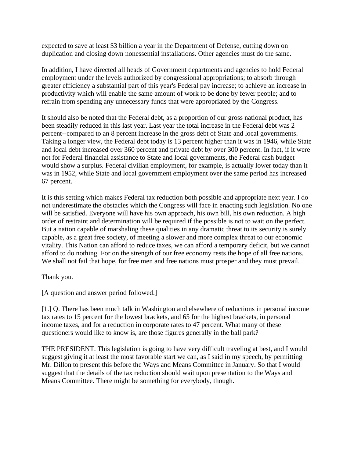expected to save at least \$3 billion a year in the Department of Defense, cutting down on duplication and closing down nonessential installations. Other agencies must do the same.

In addition, I have directed all heads of Government departments and agencies to hold Federal employment under the levels authorized by congressional appropriations; to absorb through greater efficiency a substantial part of this year's Federal pay increase; to achieve an increase in productivity which will enable the same amount of work to be done by fewer people; and to refrain from spending any unnecessary funds that were appropriated by the Congress.

It should also be noted that the Federal debt, as a proportion of our gross national product, has been steadily reduced in this last year. Last year the total increase in the Federal debt was 2 percent--compared to an 8 percent increase in the gross debt of State and local governments. Taking a longer view, the Federal debt today is 13 percent higher than it was in 1946, while State and local debt increased over 360 percent and private debt by over 300 percent. In fact, if it were not for Federal financial assistance to State and local governments, the Federal cash budget would show a surplus. Federal civilian employment, for example, is actually lower today than it was in 1952, while State and local government employment over the same period has increased 67 percent.

It is this setting which makes Federal tax reduction both possible and appropriate next year. I do not underestimate the obstacles which the Congress will face in enacting such legislation. No one will be satisfied. Everyone will have his own approach, his own bill, his own reduction. A high order of restraint and determination will be required if the possible is not to wait on the perfect. But a nation capable of marshaling these qualities in any dramatic threat to its security is surely capable, as a great free society, of meeting a slower and more complex threat to our economic vitality. This Nation can afford to reduce taxes, we can afford a temporary deficit, but we cannot afford to do nothing. For on the strength of our free economy rests the hope of all free nations. We shall not fail that hope, for free men and free nations must prosper and they must prevail.

Thank you.

[A question and answer period followed.]

[1.] Q. There has been much talk in Washington and elsewhere of reductions in personal income tax rates to 15 percent for the lowest brackets, and 65 for the highest brackets, in personal income taxes, and for a reduction in corporate rates to 47 percent. What many of these questioners would like to know is, are those figures generally in the ball park?

THE PRESIDENT. This legislation is going to have very difficult traveling at best, and I would suggest giving it at least the most favorable start we can, as I said in my speech, by permitting Mr. Dillon to present this before the Ways and Means Committee in January. So that I would suggest that the details of the tax reduction should wait upon presentation to the Ways and Means Committee. There might be something for everybody, though.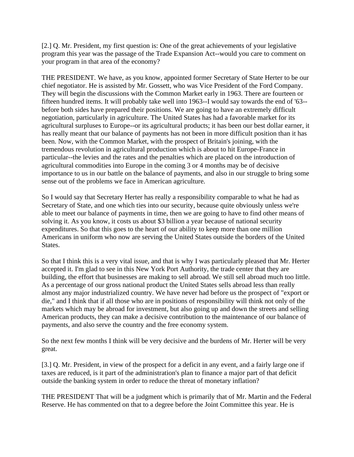[2.] Q. Mr. President, my first question is: One of the great achievements of your legislative program this year was the passage of the Trade Expansion Act--would you care to comment on your program in that area of the economy?

THE PRESIDENT. We have, as you know, appointed former Secretary of State Herter to be our chief negotiator. He is assisted by Mr. Gossett, who was Vice President of the Ford Company. They will begin the discussions with the Common Market early in 1963. There are fourteen or fifteen hundred items. It will probably take well into 1963--I would say towards the end of '63- before both sides have prepared their positions. We are going to have an extremely difficult negotiation, particularly in agriculture. The United States has had a favorable market for its agricultural surpluses to Europe--or its agricultural products; it has been our best dollar earner, it has really meant that our balance of payments has not been in more difficult position than it has been. Now, with the Common Market, with the prospect of Britain's joining, with the tremendous revolution in agricultural production which is about to hit Europe-France in particular--the levies and the rates and the penalties which are placed on the introduction of agricultural commodities into Europe in the coming 3 or 4 months may be of decisive importance to us in our battle on the balance of payments, and also in our struggle to bring some sense out of the problems we face in American agriculture.

So I would say that Secretary Herter has really a responsibility comparable to what he had as Secretary of State, and one which ties into our security, because quite obviously unless we're able to meet our balance of payments in time, then we are going to have to find other means of solving it. As you know, it costs us about \$3 billion a year because of national security expenditures. So that this goes to the heart of our ability to keep more than one million Americans in uniform who now are serving the United States outside the borders of the United States.

So that I think this is a very vital issue, and that is why I was particularly pleased that Mr. Herter accepted it. I'm glad to see in this New York Port Authority, the trade center that they are building, the effort that businesses are making to sell abroad. We still sell abroad much too little. As a percentage of our gross national product the United States sells abroad less than really almost any major industrialized country. We have never had before us the prospect of "export or die," and I think that if all those who are in positions of responsibility will think not only of the markets which may be abroad for investment, but also going up and down the streets and selling American products, they can make a decisive contribution to the maintenance of our balance of payments, and also serve the country and the free economy system.

So the next few months I think will be very decisive and the burdens of Mr. Herter will be very great.

[3.] Q. Mr. President, in view of the prospect for a deficit in any event, and a fairly large one if taxes are reduced, is it part of the administration's plan to finance a major part of that deficit outside the banking system in order to reduce the threat of monetary inflation?

THE PRESIDENT That will be a judgment which is primarily that of Mr. Martin and the Federal Reserve. He has commented on that to a degree before the Joint Committee this year. He is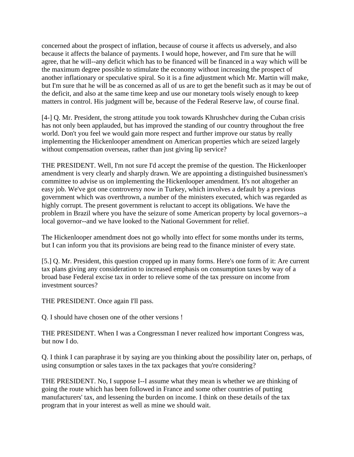concerned about the prospect of inflation, because of course it affects us adversely, and also because it affects the balance of payments. I would hope, however, and I'm sure that he will agree, that he will--any deficit which has to be financed will be financed in a way which will be the maximum degree possible to stimulate the economy without increasing the prospect of another inflationary or speculative spiral. So it is a fine adjustment which Mr. Martin will make, but I'm sure that he will be as concerned as all of us are to get the benefit such as it may be out of the deficit, and also at the same time keep and use our monetary tools wisely enough to keep matters in control. His judgment will be, because of the Federal Reserve law, of course final.

[4-] Q. Mr. President, the strong attitude you took towards Khrushchev during the Cuban crisis has not only been applauded, but has improved the standing of our country throughout the free world. Don't you feel we would gain more respect and further improve our status by really implementing the Hickenlooper amendment on American properties which are seized largely without compensation overseas, rather than just giving lip service?

THE PRESIDENT. Well, I'm not sure I'd accept the premise of the question. The Hickenlooper amendment is very clearly and sharply drawn. We are appointing a distinguished businessmen's committee to advise us on implementing the Hickenlooper amendment. It's not altogether an easy job. We've got one controversy now in Turkey, which involves a default by a previous government which was overthrown, a number of the ministers executed, which was regarded as highly corrupt. The present government is reluctant to accept its obligations. We have the problem in Brazil where you have the seizure of some American property by local governors--a local governor--and we have looked to the National Government for relief.

The Hickenlooper amendment does not go wholly into effect for some months under its terms, but I can inform you that its provisions are being read to the finance minister of every state.

[5.] Q. Mr. President, this question cropped up in many forms. Here's one form of it: Are current tax plans giving any consideration to increased emphasis on consumption taxes by way of a broad base Federal excise tax in order to relieve some of the tax pressure on income from investment sources?

THE PRESIDENT. Once again I'll pass.

Q. I should have chosen one of the other versions !

THE PRESIDENT. When I was a Congressman I never realized how important Congress was, but now I do.

Q. I think I can paraphrase it by saying are you thinking about the possibility later on, perhaps, of using consumption or sales taxes in the tax packages that you're considering?

THE PRESIDENT. No, I suppose I--I assume what they mean is whether we are thinking of going the route which has been followed in France and some other countries of putting manufacturers' tax, and lessening the burden on income. I think on these details of the tax program that in your interest as well as mine we should wait.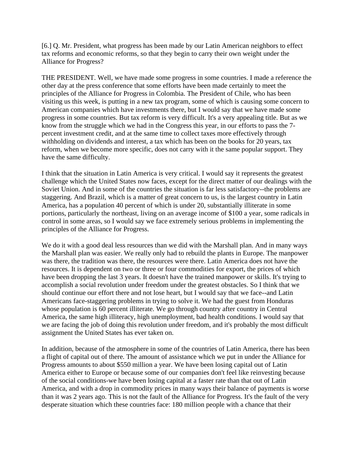[6.] Q. Mr. President, what progress has been made by our Latin American neighbors to effect tax reforms and economic reforms, so that they begin to carry their own weight under the Alliance for Progress?

THE PRESIDENT. Well, we have made some progress in some countries. I made a reference the other day at the press conference that some efforts have been made certainly to meet the principles of the Alliance for Progress in Colombia. The President of Chile, who has been visiting us this week, is putting in a new tax program, some of which is causing some concern to American companies which have investments there, but I would say that we have made some progress in some countries. But tax reform is very difficult. It's a very appealing title. But as we know from the struggle which we had in the Congress this year, in our efforts to pass the 7 percent investment credit, and at the same time to collect taxes more effectively through withholding on dividends and interest, a tax which has been on the books for 20 years, tax reform, when we become more specific, does not carry with it the same popular support. They have the same difficulty.

I think that the situation in Latin America is very critical. I would say it represents the greatest challenge which the United States now faces, except for the direct matter of our dealings with the Soviet Union. And in some of the countries the situation is far less satisfactory--the problems are staggering. And Brazil, which is a matter of great concern to us, is the largest country in Latin America, has a population 40 percent of which is under 20, substantially illiterate in some portions, particularly the northeast, living on an average income of \$100 a year, some radicals in control in some areas, so I would say we face extremely serious problems in implementing the principles of the Alliance for Progress.

We do it with a good deal less resources than we did with the Marshall plan. And in many ways the Marshall plan was easier. We really only had to rebuild the plants in Europe. The manpower was there, the tradition was there, the resources were there. Latin America does not have the resources. It is dependent on two or three or four commodities for export, the prices of which have been dropping the last 3 years. It doesn't have the trained manpower or skills. It's trying to accomplish a social revolution under freedom under the greatest obstacles. So I think that we should continue our effort there and not lose heart, but I would say that we face--and Latin Americans face-staggering problems in trying to solve it. We had the guest from Honduras whose population is 60 percent illiterate. We go through country after country in Central America, the same high illiteracy, high unemployment, bad health conditions. I would say that we are facing the job of doing this revolution under freedom, and it's probably the most difficult assignment the United States has ever taken on.

In addition, because of the atmosphere in some of the countries of Latin America, there has been a flight of capital out of there. The amount of assistance which we put in under the Alliance for Progress amounts to about \$550 million a year. We have been losing capital out of Latin America either to Europe or because some of our companies don't feel like reinvesting because of the social conditions-we have been losing capital at a faster rate than that out of Latin America, and with a drop in commodity prices in many ways their balance of payments is worse than it was 2 years ago. This is not the fault of the Alliance for Progress. It's the fault of the very desperate situation which these countries face: 180 million people with a chance that their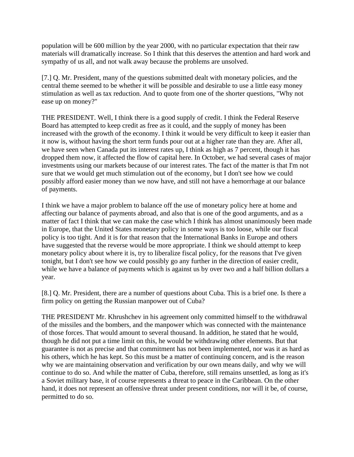population will be 600 million by the year 2000, with no particular expectation that their raw materials will dramatically increase. So I think that this deserves the attention and hard work and sympathy of us all, and not walk away because the problems are unsolved.

[7.] Q. Mr. President, many of the questions submitted dealt with monetary policies, and the central theme seemed to be whether it will be possible and desirable to use a little easy money stimulation as well as tax reduction. And to quote from one of the shorter questions, "Why not ease up on money?"

THE PRESIDENT. Well, I think there is a good supply of credit. I think the Federal Reserve Board has attempted to keep credit as free as it could, and the supply of money has been increased with the growth of the economy. I think it would be very difficult to keep it easier than it now is, without having the short term funds pour out at a higher rate than they are. After all, we have seen when Canada put its interest rates up, I think as high as 7 percent, though it has dropped them now, it affected the flow of capital here. In October, we had several cases of major investments using our markets because of our interest rates. The fact of the matter is that I'm not sure that we would get much stimulation out of the economy, but I don't see how we could possibly afford easier money than we now have, and still not have a hemorrhage at our balance of payments.

I think we have a major problem to balance off the use of monetary policy here at home and affecting our balance of payments abroad, and also that is one of the good arguments, and as a matter of fact I think that we can make the case which I think has almost unanimously been made in Europe, that the United States monetary policy in some ways is too loose, while our fiscal policy is too tight. And it is for that reason that the International Banks in Europe and others have suggested that the reverse would be more appropriate. I think we should attempt to keep monetary policy about where it is, try to liberalize fiscal policy, for the reasons that I've given tonight, but I don't see how we could possibly go any further in the direction of easier credit, while we have a balance of payments which is against us by over two and a half billion dollars a year.

[8.] Q. Mr. President, there are a number of questions about Cuba. This is a brief one. Is there a firm policy on getting the Russian manpower out of Cuba?

THE PRESIDENT Mr. Khrushchev in his agreement only committed himself to the withdrawal of the missiles and the bombers, and the manpower which was connected with the maintenance of those forces. That would amount to several thousand. In addition, he stated that he would, though he did not put a time limit on this, he would be withdrawing other elements. But that guarantee is not as precise and that commitment has not been implemented, nor was it as hard as his others, which he has kept. So this must be a matter of continuing concern, and is the reason why we are maintaining observation and verification by our own means daily, and why we will continue to do so. And while the matter of Cuba, therefore, still remains unsettled, as long as it's a Soviet military base, it of course represents a threat to peace in the Caribbean. On the other hand, it does not represent an offensive threat under present conditions, nor will it be, of course, permitted to do so.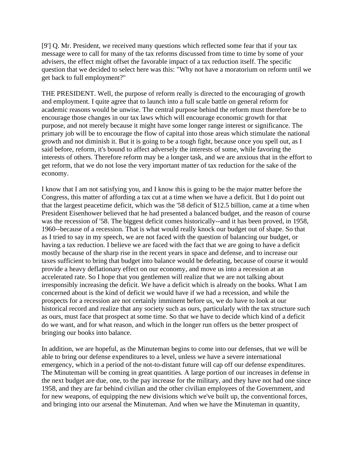[9'] Q. Mr. President, we received many questions which reflected some fear that if your tax message were to call for many of the tax reforms discussed from time to time by some of your advisers, the effect might offset the favorable impact of a tax reduction itself. The specific question that we decided to select here was this: "Why not have a moratorium on reform until we get back to full employment?"

THE PRESIDENT. Well, the purpose of reform really is directed to the encouraging of growth and employment. I quite agree that to launch into a full scale battle on general reform for academic reasons would be unwise. The central purpose behind the reform must therefore be to encourage those changes in our tax laws which will encourage economic growth for that purpose, and not merely because it might have some longer range interest or significance. The primary job will be to encourage the flow of capital into those areas which stimulate the national growth and not diminish it. But it is going to be a tough fight, because once you spell out, as I said before, reform, it's bound to affect adversely the interests of some, while favoring the interests of others. Therefore reform may be a longer task, and we are anxious that in the effort to get reform, that we do not lose the very important matter of tax reduction for the sake of the economy.

I know that I am not satisfying you, and I know this is going to be the major matter before the Congress, this matter of affording a tax cut at a time when we have a deficit. But I do point out that the largest peacetime deficit, which was the '58 deficit of \$12.5 billion, came at a time when President Eisenhower believed that he had presented a balanced budget, and the reason of course was the recession of '58. The biggest deficit comes historically--and it has been proved, in 1958, 1960--because of a recession. That is what would really knock our budget out of shape. So that as I tried to say in my speech, we are not faced with the question of balancing our budget, or having a tax reduction. I believe we are faced with the fact that we are going to have a deficit mostly because of the sharp rise in the recent years in space and defense, and to increase our taxes sufficient to bring that budget into balance would be defeating, because of course it would provide a heavy deflationary effect on our economy, and move us into a recession at an accelerated rate. So I hope that you gentlemen will realize that we are not talking about irresponsibly increasing the deficit. We have a deficit which is already on the books. What I am concerned about is the kind of deficit we would have if we had a recession, and while the prospects for a recession are not certainly imminent before us, we do have to look at our historical record and realize that any society such as ours, particularly with the tax structure such as ours, must face that prospect at some time. So that we have to decide which kind of a deficit do we want, and for what reason, and which in the longer run offers us the better prospect of bringing our books into balance.

In addition, we are hopeful, as the Minuteman begins to come into our defenses, that we will be able to bring our defense expenditures to a level, unless we have a severe international emergency, which in a period of the not-to-distant future will cap off our defense expenditures. The Minuteman will be coming in great quantities. A large portion of our increases in defense in the next budget are due, one, to the pay increase for the military, and they have not had one since 1958, and they are far behind civilian and the other civilian employees of the Government, and for new weapons, of equipping the new divisions which we've built up, the conventional forces, and bringing into our arsenal the Minuteman. And when we have the Minuteman in quantity,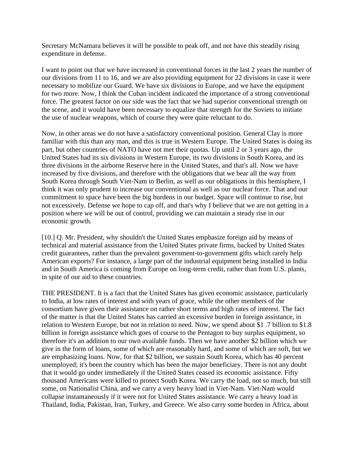Secretary McNamara believes it will be possible to peak off, and not have this steadily rising expenditure in defense.

I want to point out that we have increased in conventional forces in the last 2 years the number of our divisions from 11 to 16, and we are also providing equipment for 22 divisions in case it were necessary to mobilize our Guard. We have six divisions in Europe, and we have the equipment for two more. Now, I think the Cuban incident indicated the importance of a strong conventional force. The greatest factor on our side was the fact that we had superior conventional strength on the scene, and it would have been necessary to equalize that strength for the Soviets to initiate the use of nuclear weapons, which of course they were quite reluctant to do.

Now, in other areas we do not have a satisfactory conventional position. General Clay is more familiar with this than any man, and this is true in Western Europe. The United States is doing its part, but other countries of NATO have not met their quotas. Up until 2 or 3 years ago, the United States had its six divisions in Western Europe, its two divisions in South Korea, and its three divisions in the airborne Reserve here in the United States, and that's all. Now we have increased by five divisions, and therefore with the obligations that we bear all the way from South Korea through South Viet-Nam to Berlin, as well as our obligations in this hemisphere, I think it was only prudent to increase our conventional as well as our nuclear force. That and our commitment to space have been the big burdens in our budget. Space will continue to rise, but not excessively. Defense we hope to cap off, and that's why I believe that we are not getting in a position where we will be out of control, providing we can maintain a steady rise in our economic growth.

[10.] Q. Mr. President, why shouldn't the United States emphasize foreign aid by means of technical and material assistance from the United States private firms, backed by United States credit guarantees, rather than the prevalent government-to-government gifts which rarely help American exports? For instance, a large part of the industrial equipment being installed in India and in South America is coming from Europe on long-term credit, rather than from U.S. plants, in spite of our aid to these countries.

THE PRESIDENT. It is a fact that the United States has given economic assistance, particularly to India, at low rates of interest and with years of grace, while the other members of the consortium have given their assistance on rather short terms and high rates of interest. The fact of the matter is that the United States has carried an excessive burden in foreign assistance, in relation to Western Europe, but not in relation to need. Now, we spend about \$1 .7 billion to \$1.8 billion in foreign assistance which goes of course to the Pentagon to buy surplus equipment, so therefore it's an addition to our own available funds. Then we have another \$2 billion which we give in the form of loans, some of which are reasonably hard, and some of which are soft, but we are emphasizing loans. Now, for that \$2 billion, we sustain South Korea, which has 40 percent unemployed; it's been the country which has been the major beneficiary. There is not any doubt that it would go under immediately if the United States ceased its economic assistance. Fifty thousand Americans were killed to protect South Korea. We carry the load, not so much, but still some, on Nationalist China, and we carry a very heavy load in Viet-Nam. Viet-Nam would collapse instantaneously if it were not for United States assistance. We carry a heavy load in Thailand, India, Pakistan, Iran, Turkey, and Greece. We also carry some burden in Africa, about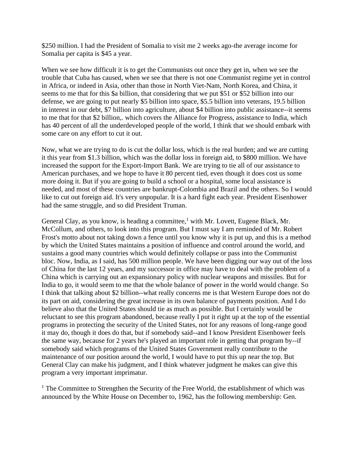\$250 million. I had the President of Somalia to visit me 2 weeks ago-the average income for Somalia per capita is \$45 a year.

When we see how difficult it is to get the Communists out once they get in, when we see the trouble that Cuba has caused, when we see that there is not one Communist regime yet in control in Africa, or indeed in Asia, other than those in North Viet-Nam, North Korea, and China, it seems to me that for this \$a billion, that considering that we put \$51 or \$52 billion into our defense, we are going to put nearly \$5 billion into space, \$5.5 billion into veterans, 19.5 billion in interest in our debt, \$7 billion into agriculture, about \$4 billion into public assistance--it seems to me that for that \$2 billion,. which covers the Alliance for Progress, assistance to India, which has 40 percent of all the underdeveloped people of the world, I think that we should embark with some care on any effort to cut it out.

Now, what we are trying to do is cut the dollar loss, which is the real burden; and we are cutting it this year from \$1.3 billion, which was the dollar loss in foreign aid, to \$800 million. We have increased the support for the Export-Import Bank. We are trying to tie all of our assistance to American purchases, and we hope to have it 80 percent tied, even though it does cost us some more doing it. But if you are going to build a school or a hospital, some local assistance is needed, and most of these countries are bankrupt-Colombia and Brazil and the others. So I would like to cut out foreign aid. It's very unpopular. It is a hard fight each year. President Eisenhower had the same struggle, and so did President Truman.

General Clay, as you know, is heading a committee,<sup>1</sup> with Mr. Lovett, Eugene Black, Mr. McCollum, and others, to look into this program. But I must say I am reminded of Mr. Robert Frost's motto about not taking down a fence until you know why it is put up, and this is a method by which the United States maintains a position of influence and control around the world, and sustains a good many countries which would definitely collapse or pass into the Communist bloc. Now, India, as I said, has 500 million people. We have been digging our way out of the loss of China for the last 12 years, and my successor in office may have to deal with the problem of a China which is carrying out an expansionary policy with nuclear weapons and missiles. But for India to go, it would seem to me that the whole balance of power in the world would change. So I think that talking about \$2 billion--what really concerns me is that Western Europe does not do its part on aid, considering the great increase in its own balance of payments position. And I do believe also that the United States should tie as much as possible. But I certainly would be reluctant to see this program abandoned, because really I put it right up at the top of the essential programs in protecting the security of the United States, not for any reasons of long-range good it may do, though it does do that, but if somebody said--and I know President Eisenhower feels the same way, because for 2 years he's played an important role in getting that program by--if somebody said which programs of the United States Government really contribute to the maintenance of our position around the world, I would have to put this up near the top. But General Clay can make his judgment, and I think whatever judgment he makes can give this program a very important imprimatur.

<sup>1</sup> The Committee to Strengthen the Security of the Free World, the establishment of which was announced by the White House on December to, 1962, has the following membership: Gen.